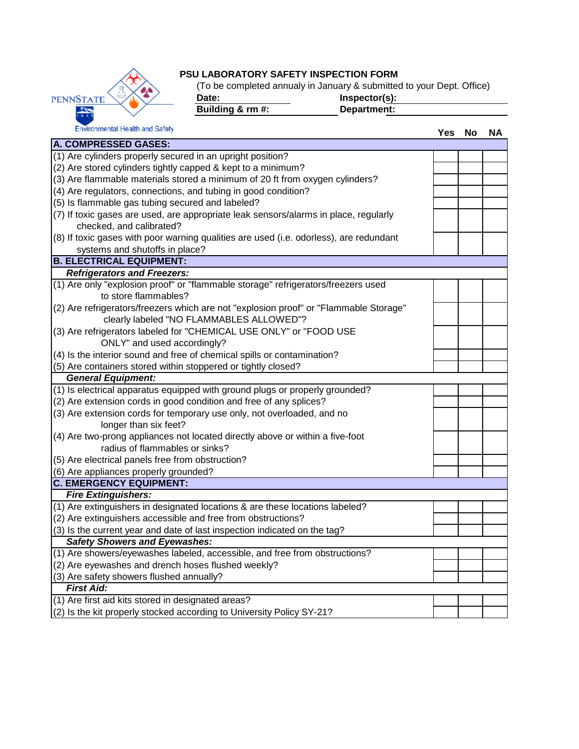

## **PSU LABORATORY SAFETY INSPECTION FORM**

(To be completed annualy in January & submitted to your Dept. Office)

Date: Date: **Inspector(s):**<br> **Building & rm #:** Department:

**Building & rm #:** 

Environmental Health and Safety **Yes No NA A. COMPRESSED GASES:** (1) Are cylinders properly secured in an upright position? (2) Are stored cylinders tightly capped & kept to a minimum? (3) Are flammable materials stored a minimum of 20 ft from oxygen cylinders? (4) Are regulators, connections, and tubing in good condition? (5) Is flammable gas tubing secured and labeled? (7) If toxic gases are used, are appropriate leak sensors/alarms in place, regularly checked, and calibrated? (8) If toxic gases with poor warning qualities are used (i.e. odorless), are redundant systems and shutoffs in place? **B. ELECTRICAL EQUIPMENT:**  *Refrigerators and Freezers:* (1) Are only "explosion proof" or "flammable storage" refrigerators/freezers used to store flammables? (2) Are refrigerators/freezers which are not "explosion proof" or "Flammable Storage" clearly labeled "NO FLAMMABLES ALLOWED"? (3) Are refrigerators labeled for "CHEMICAL USE ONLY" or "FOOD USE ONLY" and used accordingly? (4) Is the interior sound and free of chemical spills or contamination? (5) Are containers stored within stoppered or tightly closed? *General Equipment:* (1) Is electrical apparatus equipped with ground plugs or properly grounded? (2) Are extension cords in good condition and free of any splices? (3) Are extension cords for temporary use only, not overloaded, and no longer than six feet? (4) Are two-prong appliances not located directly above or within a five-foot radius of flammables or sinks? (5) Are electrical panels free from obstruction? (6) Are appliances properly grounded? **C. EMERGENCY EQUIPMENT:** *Fire Extinguishers:* (1) Are extinguishers in designated locations & are these locations labeled? (2) Are extinguishers accessible and free from obstructions? (3) Is the current year and date of last inspection indicated on the tag? *Safety Showers and Eyewashes:* (1) Are showers/eyewashes labeled, accessible, and free from obstructions? (2) Are eyewashes and drench hoses flushed weekly? (3) Are safety showers flushed annually? *First Aid:* (1) Are first aid kits stored in designated areas? (2) Is the kit properly stocked according to University Policy SY-21?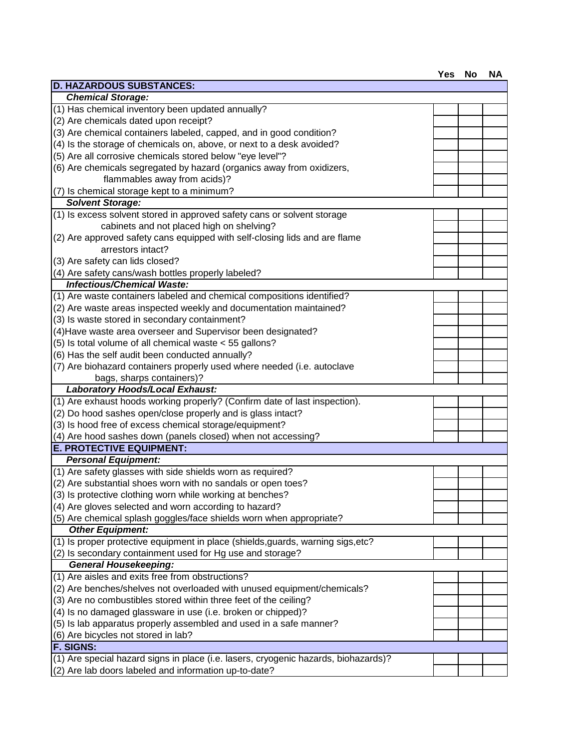| <b>D. HAZARDOUS SUBSTANCES:</b>                                                     |  |  |
|-------------------------------------------------------------------------------------|--|--|
| <b>Chemical Storage:</b>                                                            |  |  |
| (1) Has chemical inventory been updated annually?                                   |  |  |
| (2) Are chemicals dated upon receipt?                                               |  |  |
| (3) Are chemical containers labeled, capped, and in good condition?                 |  |  |
| (4) Is the storage of chemicals on, above, or next to a desk avoided?               |  |  |
| (5) Are all corrosive chemicals stored below "eye level"?                           |  |  |
| (6) Are chemicals segregated by hazard (organics away from oxidizers,               |  |  |
| flammables away from acids)?                                                        |  |  |
| (7) Is chemical storage kept to a minimum?                                          |  |  |
| <b>Solvent Storage:</b>                                                             |  |  |
| (1) Is excess solvent stored in approved safety cans or solvent storage             |  |  |
| cabinets and not placed high on shelving?                                           |  |  |
| (2) Are approved safety cans equipped with self-closing lids and are flame          |  |  |
| arrestors intact?                                                                   |  |  |
| (3) Are safety can lids closed?                                                     |  |  |
| (4) Are safety cans/wash bottles properly labeled?                                  |  |  |
| <b>Infectious/Chemical Waste:</b>                                                   |  |  |
| (1) Are waste containers labeled and chemical compositions identified?              |  |  |
| (2) Are waste areas inspected weekly and documentation maintained?                  |  |  |
| (3) Is waste stored in secondary containment?                                       |  |  |
| (4) Have waste area overseer and Supervisor been designated?                        |  |  |
| (5) Is total volume of all chemical waste < 55 gallons?                             |  |  |
| (6) Has the self audit been conducted annually?                                     |  |  |
| (7) Are biohazard containers properly used where needed (i.e. autoclave             |  |  |
| bags, sharps containers)?                                                           |  |  |
| Laboratory Hoods/Local Exhaust:                                                     |  |  |
| (1) Are exhaust hoods working properly? (Confirm date of last inspection).          |  |  |
| (2) Do hood sashes open/close properly and is glass intact?                         |  |  |
|                                                                                     |  |  |
| (3) Is hood free of excess chemical storage/equipment?                              |  |  |
| (4) Are hood sashes down (panels closed) when not accessing?                        |  |  |
| <b>E. PROTECTIVE EQUIPMENT:</b>                                                     |  |  |
| <b>Personal Equipment:</b>                                                          |  |  |
| (1) Are safety glasses with side shields worn as required?                          |  |  |
| (2) Are substantial shoes worn with no sandals or open toes?                        |  |  |
| (3) Is protective clothing worn while working at benches?                           |  |  |
| (4) Are gloves selected and worn according to hazard?                               |  |  |
| (5) Are chemical splash goggles/face shields worn when appropriate?                 |  |  |
| <b>Other Equipment:</b>                                                             |  |  |
| (1) Is proper protective equipment in place (shields, guards, warning sigs, etc?    |  |  |
| (2) Is secondary containment used for Hg use and storage?                           |  |  |
| <b>General Housekeeping:</b>                                                        |  |  |
| (1) Are aisles and exits free from obstructions?                                    |  |  |
| (2) Are benches/shelves not overloaded with unused equipment/chemicals?             |  |  |
| (3) Are no combustibles stored within three feet of the ceiling?                    |  |  |
| (4) Is no damaged glassware in use (i.e. broken or chipped)?                        |  |  |
| (5) Is lab apparatus properly assembled and used in a safe manner?                  |  |  |
| (6) Are bicycles not stored in lab?                                                 |  |  |
| <b>F. SIGNS:</b>                                                                    |  |  |
| (1) Are special hazard signs in place (i.e. lasers, cryogenic hazards, biohazards)? |  |  |
| (2) Are lab doors labeled and information up-to-date?                               |  |  |